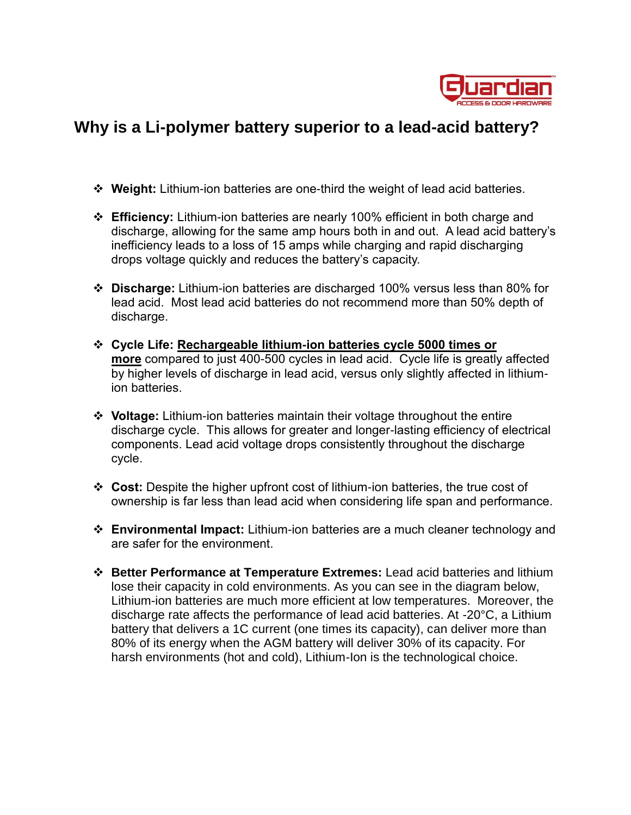

## **Why is a Li-polymer battery superior to a lead-acid battery?**

- **Weight:** Lithium-ion batteries are one-third the weight of lead acid batteries.
- **Efficiency:** Lithium-ion batteries are nearly 100% efficient in both charge and discharge, allowing for the same amp hours both in and out. A lead acid battery's inefficiency leads to a loss of 15 amps while charging and rapid discharging drops voltage quickly and reduces the battery's capacity.
- **Discharge:** Lithium-ion batteries are discharged 100% versus less than 80% for lead acid. Most lead acid batteries do not recommend more than 50% depth of discharge.
- **Cycle Life: [Rechargeable lithium-ion batteries cycle 5000 times or](http://www.relionbattery.com/lithium-applications-and-services)  [more](http://www.relionbattery.com/lithium-applications-and-services)** compared to just 400-500 cycles in lead acid. Cycle life is greatly affected by higher levels of discharge in lead acid, versus only slightly affected in lithiumion batteries.
- **Voltage:** Lithium-ion batteries maintain their voltage throughout the entire discharge cycle. This allows for greater and longer-lasting efficiency of electrical components. Lead acid voltage drops consistently throughout the discharge cycle.
- **Cost:** Despite the higher upfront cost of lithium-ion batteries, the true cost of ownership is far less than lead acid when considering life span and performance.
- **[Environmental Impact:](http://www.relionbattery.com/why-relion/green-carpet-service)** Lithium-ion batteries are a much cleaner technology and are safer for the environment.
- **Better Performance at Temperature Extremes:** Lead acid batteries and lithium lose their capacity in cold environments. As you can see in the diagram below, Lithium-ion batteries are much more efficient at low temperatures. Moreover, the discharge rate affects the performance of lead acid batteries. At -20°C, a Lithium battery that delivers a 1C current (one times its capacity), can deliver more than 80% of its energy when the AGM battery will deliver 30% of its capacity. For harsh environments (hot and cold), Lithium-Ion is the technological choice.